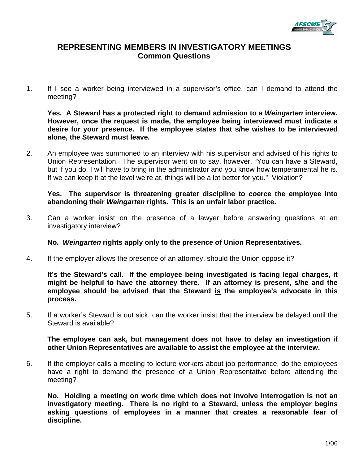

# **REPRESENTING MEMBERS IN INVESTIGATORY MEETINGS Common Questions**

1. If I see a worker being interviewed in a supervisor's office, can I demand to attend the meeting?

**Yes. A Steward has a protected right to demand admission to a** *Weingarten* **interview. However, once the request is made, the employee being interviewed must indicate a desire for your presence. If the employee states that s/he wishes to be interviewed alone, the Steward must leave.**

2. An employee was summoned to an interview with his supervisor and advised of his rights to Union Representation. The supervisor went on to say, however, "You can have a Steward, but if you do, I will have to bring in the administrator and you know how temperamental he is. If we can keep it at the level we're at, things will be a lot better for you." Violation?

### **Yes. The supervisor is threatening greater discipline to coerce the employee into abandoning their** *Weingarten* **rights. This is an unfair labor practice.**

3. Can a worker insist on the presence of a lawyer before answering questions at an investigatory interview?

## **No.** *Weingarten* **rights apply only to the presence of Union Representatives.**

4. If the employer allows the presence of an attorney, should the Union oppose it?

**It's the Steward's call. If the employee being investigated is facing legal charges, it might be helpful to have the attorney there. If an attorney is present, s/he and the employee should be advised that the Steward is the employee's advocate in this process.**

5. If a worker's Steward is out sick, can the worker insist that the interview be delayed until the Steward is available?

### **The employee can ask, but management does not have to delay an investigation if other Union Representatives are available to assist the employee at the interview.**

6. If the employer calls a meeting to lecture workers about job performance, do the employees have a right to demand the presence of a Union Representative before attending the meeting?

**No. Holding a meeting on work time which does not involve interrogation is not an investigatory meeting. There is no right to a Steward, unless the employer begins asking questions of employees in a manner that creates a reasonable fear of discipline.**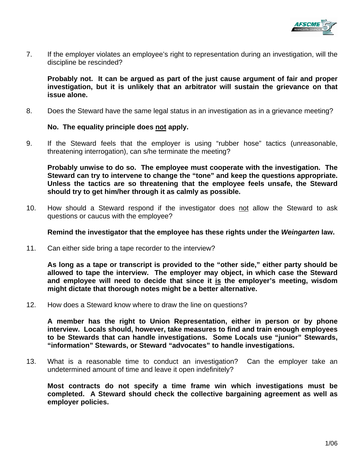

7. If the employer violates an employee's right to representation during an investigation, will the discipline be rescinded?

**Probably not. It can be argued as part of the just cause argument of fair and proper investigation, but it is unlikely that an arbitrator will sustain the grievance on that issue alone.** 

8. Does the Steward have the same legal status in an investigation as in a grievance meeting?

#### **No. The equality principle does not apply.**

9. If the Steward feels that the employer is using "rubber hose" tactics (unreasonable, threatening interrogation), can s/he terminate the meeting?

**Probably unwise to do so. The employee must cooperate with the investigation. The Steward can try to intervene to change the "tone" and keep the questions appropriate. Unless the tactics are so threatening that the employee feels unsafe, the Steward should try to get him/her through it as calmly as possible.** 

10. How should a Steward respond if the investigator does not allow the Steward to ask questions or caucus with the employee?

**Remind the investigator that the employee has these rights under the** *Weingarten* **law.** 

11. Can either side bring a tape recorder to the interview?

**As long as a tape or transcript is provided to the "other side," either party should be allowed to tape the interview. The employer may object, in which case the Steward and employee will need to decide that since it is the employer's meeting, wisdom might dictate that thorough notes might be a better alternative.** 

12. How does a Steward know where to draw the line on questions?

**A member has the right to Union Representation, either in person or by phone interview. Locals should, however, take measures to find and train enough employees to be Stewards that can handle investigations. Some Locals use "junior" Stewards, "information" Stewards, or Steward "advocates" to handle investigations.** 

13. What is a reasonable time to conduct an investigation? Can the employer take an undetermined amount of time and leave it open indefinitely?

**Most contracts do not specify a time frame win which investigations must be completed. A Steward should check the collective bargaining agreement as well as employer policies.**